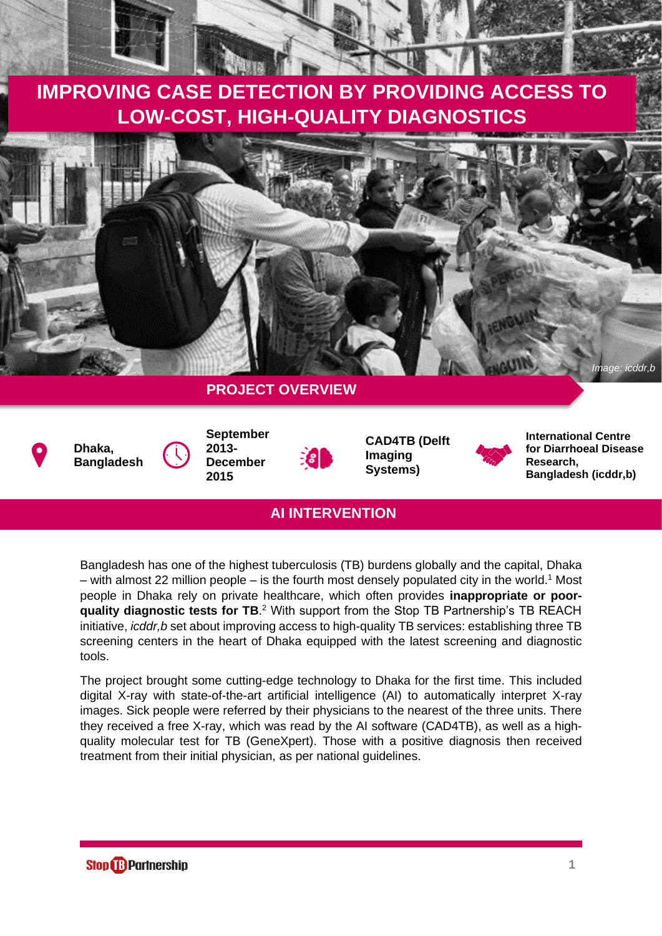# **IMPROVING CASE DETECTION BY PROVIDING ACCESS TO LOW-COST, HIGH-QUALITY DIAGNOSTICS**







**September 2013- December 2015**

**CAD4TB (Delft Imaging Systems)**



**International Centre for Diarrhoeal Disease Research, Bangladesh (icddr,b)**

# **AI INTERVENTION**

Bangladesh has one of the highest tuberculosis (TB) burdens globally and the capital, Dhaka – with almost 22 million people – is the fourth most densely populated city in the world.<sup>1</sup> Most people in Dhaka rely on private healthcare, which often provides **inappropriate or poorquality diagnostic tests for TB**. <sup>2</sup> With support from the Stop TB Partnership's TB REACH initiative, *icddr,b* set about improving access to high-quality TB services: establishing three TB screening centers in the heart of Dhaka equipped with the latest screening and diagnostic tools.

The project brought some cutting-edge technology to Dhaka for the first time. This included digital X-ray with state-of-the-art artificial intelligence (AI) to automatically interpret X-ray images. Sick people were referred by their physicians to the nearest of the three units. There they received a free X-ray, which was read by the AI software (CAD4TB), as well as a highquality molecular test for TB (GeneXpert). Those with a positive diagnosis then received treatment from their initial physician, as per national guidelines.

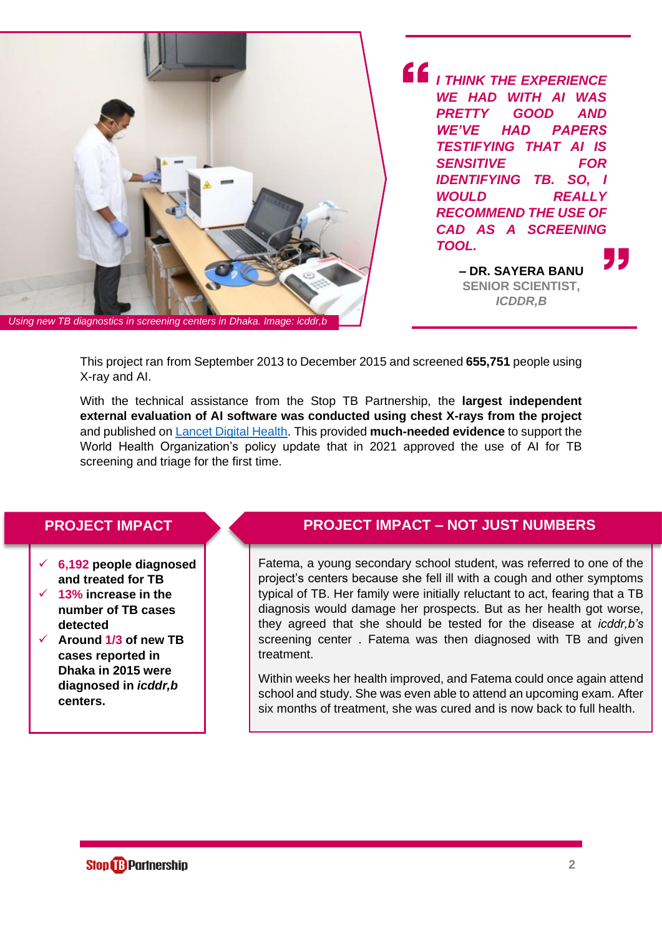

*I THINK THE EXPERIENCE WE HAD WITH AI WAS PRETTY GOOD AND WE'VE HAD PAPERS TESTIFYING THAT AI IS SENSITIVE FOR IDENTIFYING TB. SO, I WOULD REALLY RECOMMEND THE USE OF CAD AS A SCREENING TOOL.*

> **– DR. SAYERA BANU SENIOR SCIENTIST,**  *ICDDR,B*

This project ran from September 2013 to December 2015 and screened **655,751** people using X-ray and AI.

With the technical assistance from the Stop TB Partnership, the **largest independent external evaluation of AI software was conducted using chest X-rays from the project** and published on [Lancet Digital Health.](https://www.thelancet.com/journals/landig/article/PIIS2589-7500(21)00116-3/fulltext) This provided **much-needed evidence** to support the World Health Organization's policy update that in 2021 approved the use of AI for TB screening and triage for the first time.

- ✓ **6,192 people diagnosed and treated for TB**
- 13% increase in the **number of TB cases detected**
- ✓ **Around 1/3 of new TB cases reported in Dhaka in 2015 were diagnosed in** *icddr,b* **centers.**

### **PROJECT IMPACT PROJECT IMPACT – NOT JUST NUMBERS**

Fatema, a young secondary school student, was referred to one of the project's centers because she fell ill with a cough and other symptoms typical of TB. Her family were initially reluctant to act, fearing that a TB diagnosis would damage her prospects. But as her health got worse, they agreed that she should be tested for the disease at *icddr,b's* screening center . Fatema was then diagnosed with TB and given treatment.

Within weeks her health improved, and Fatema could once again attend school and study. She was even able to attend an upcoming exam. After six months of treatment, she was cured and is now back to full health.

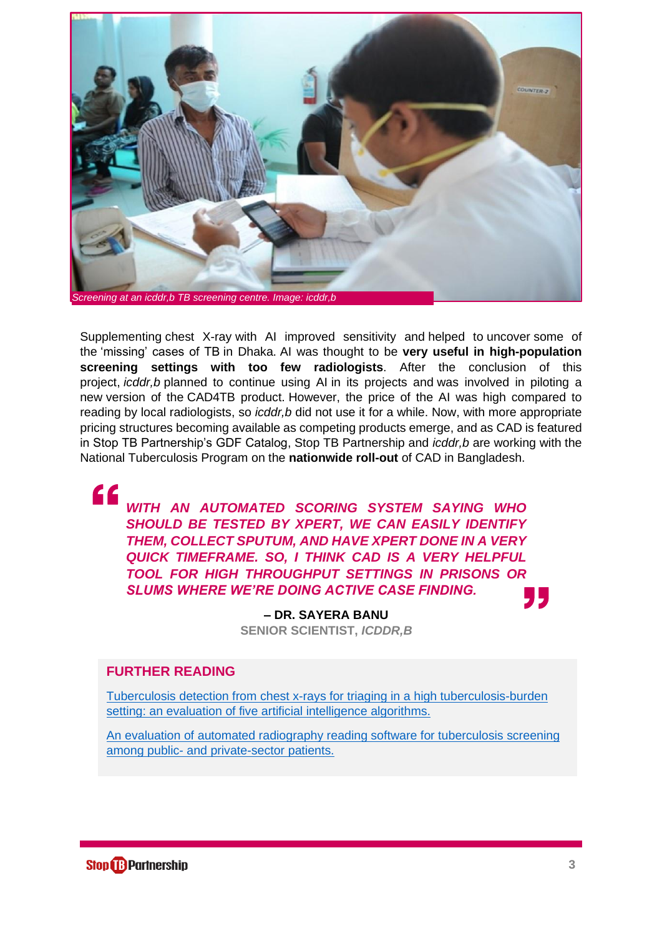

Supplementing chest X-ray with AI improved sensitivity and helped to uncover some of the 'missing' cases of TB in Dhaka. AI was thought to be **very useful in high-population screening settings with too few radiologists**. After the conclusion of this project, *icddr,b* planned to continue using AI in its projects and was involved in piloting a new version of the CAD4TB product. However, the price of the AI was high compared to reading by local radiologists, so *icddr,b* did not use it for a while. Now, with more appropriate pricing structures becoming available as competing products emerge, and as CAD is featured in Stop TB Partnership's GDF Catalog, Stop TB Partnership and *icddr,b* are working with the National Tuberculosis Program on the **nationwide roll-out** of CAD in Bangladesh.

" *WITH AN AUTOMATED SCORING SYSTEM SAYING WHO SHOULD BE TESTED BY XPERT, WE CAN EASILY IDENTIFY THEM, COLLECT SPUTUM, AND HAVE XPERT DONE IN A VERY QUICK TIMEFRAME. SO, I THINK CAD IS A VERY HELPFUL TOOL FOR HIGH THROUGHPUT SETTINGS IN PRISONS OR SLUMS WHERE WE'RE DOING ACTIVE CASE FINDING.*

> **– DR. SAYERA BANU SENIOR SCIENTIST,** *ICDDR,B*

## **FURTHER READING**

[Tuberculosis detection from chest x-rays for triaging in a high tuberculosis-burden](https://www.thelancet.com/journals/landig/article/PIIS2589-7500(21)00116-3/fulltext)  [setting: an evaluation of five artificial intelligence algorithms.](https://www.thelancet.com/journals/landig/article/PIIS2589-7500(21)00116-3/fulltext)

[An evaluation of automated radiography reading software for tuberculosis screening](https://erj.ersjournals.com/content/49/5/1602159.long)  among public- [and private-sector patients.](https://erj.ersjournals.com/content/49/5/1602159.long)